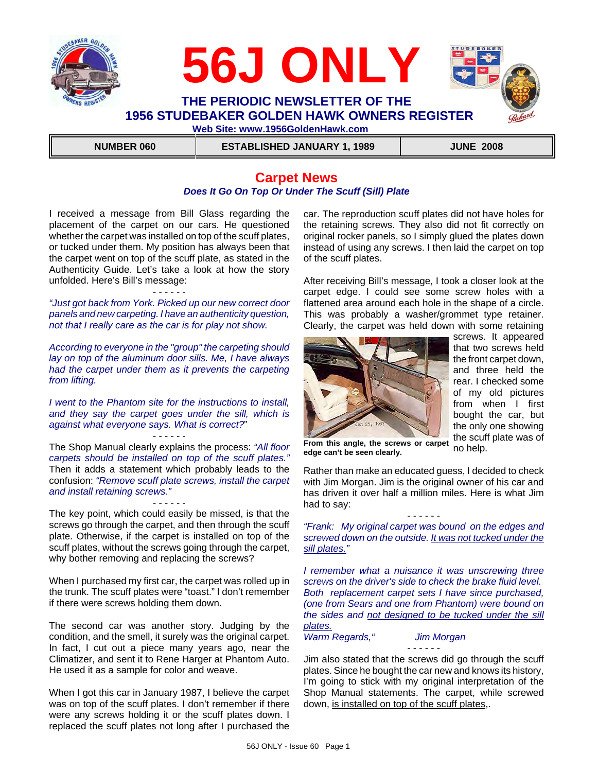



 **NUMBER 060 ESTABLISHED JANUARY 1, 1989 JUNE 2008**

# **Carpet News** *Does It Go On Top Or Under The Scuff (Sill) Plate*

I received a message from Bill Glass regarding the placement of the carpet on our cars. He questioned whether the carpet was installed on top of the scuff plates, or tucked under them. My position has always been that the carpet went on top of the scuff plate, as stated in the Authenticity Guide. Let's take a look at how the story unfolded. Here's Bill's message:

- - - - - - *"Just got back from York. Picked up our new correct door panels and new carpeting. I have an authenticity question, not that I really care as the car is for play not show.* 

*According to everyone in the "group" the carpeting should lay on top of the aluminum door sills. Me, I have always had the carpet under them as it prevents the carpeting from lifting.*

*I went to the Phantom site for the instructions to install, and they say the carpet goes under the sill, which is against what everyone says. What is correct?*"

- - - - - - The Shop Manual clearly explains the process: *"All floor carpets should be installed on top of the scuff plates."* Then it adds a statement which probably leads to the confusion: *"Remove scuff plate screws, install the carpet and install retaining screws."*

- - - - - - The key point, which could easily be missed, is that the screws go through the carpet, and then through the scuff plate. Otherwise, if the carpet is installed on top of the scuff plates, without the screws going through the carpet, why bother removing and replacing the screws?

When I purchased my first car, the carpet was rolled up in the trunk. The scuff plates were "toast." I don't remember if there were screws holding them down.

The second car was another story. Judging by the condition, and the smell, it surely was the original carpet. In fact, I cut out a piece many years ago, near the Climatizer, and sent it to Rene Harger at Phantom Auto. He used it as a sample for color and weave.

When I got this car in January 1987, I believe the carpet was on top of the scuff plates. I don't remember if there were any screws holding it or the scuff plates down. I replaced the scuff plates not long after I purchased the

car. The reproduction scuff plates did not have holes for the retaining screws. They also did not fit correctly on original rocker panels, so I simply glued the plates down instead of using any screws. I then laid the carpet on top of the scuff plates.

After receiving Bill's message, I took a closer look at the carpet edge. I could see some screw holes with a flattened area around each hole in the shape of a circle. This was probably a washer/grommet type retainer. Clearly, the carpet was held down with some retaining



screws. It appeared that two screws held the front carpet down, and three held the rear. I checked some of my old pictures from when I first bought the car, but the only one showing the scuff plate was of no help.

**From this angle, the screws or carpet edge can't be seen clearly.**

Rather than make an educated guess, I decided to check with Jim Morgan. Jim is the original owner of his car and has driven it over half a million miles. Here is what Jim had to say:

*"Frank: My original carpet was bound on the edges and screwed down on the outside. It was not tucked under the sill plates."*

- - - - - -

*I remember what a nuisance it was unscrewing three screws on the driver's side to check the brake fluid level. Both replacement carpet sets I have since purchased, (one from Sears and one from Phantom) were bound on the sides and not designed to be tucked under the sill plates.*

*Warm Regards," Jim Morgan*

- - - - - -

Jim also stated that the screws did go through the scuff plates. Since he bought the car new and knows its history, I'm going to stick with my original interpretation of the Shop Manual statements. The carpet, while screwed down, is installed on top of the scuff plates,.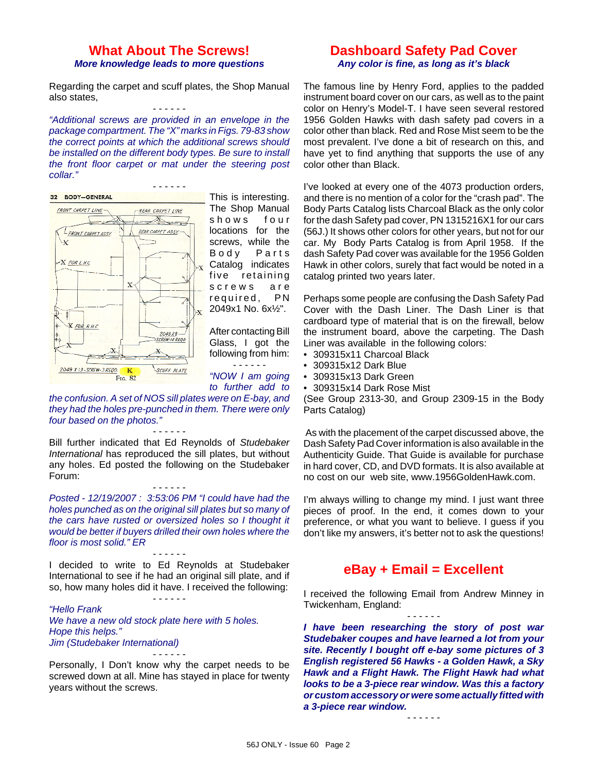## **What About The Screws!** *More knowledge leads to more questions*

Regarding the carpet and scuff plates, the Shop Manual also states, - - - - - -

*"Additional screws are provided in an envelope in the package compartment. The "X" marks in Figs. 79-83 show the correct points at which the additional screws should be installed on the different body types. Be sure to install the front floor carpet or mat under the steering post collar."* 

- - - - - -



This is interesting. The Shop Manual shows four locations for the screws, while the Body Parts Catalog indicates five retaining screws are required, PN 2049x1 No. 6x½".

After contacting Bill Glass, I got the following from him:

- - - - - - *"NOW I am going to further add to*

*the confusion. A set of NOS sill plates were on E-bay, and they had the holes pre-punched in them. There were only four based on the photos."* - - - - - -

Bill further indicated that Ed Reynolds of *Studebaker International* has reproduced the sill plates, but without any holes. Ed posted the following on the Studebaker Forum:

### - - - - - -

*Posted - 12/19/2007 : 3:53:06 PM "I could have had the holes punched as on the original sill plates but so many of the cars have rusted or oversized holes so I thought it would be better if buyers drilled their own holes where the floor is most solid." ER*

I decided to write to Ed Reynolds at Studebaker International to see if he had an original sill plate, and if so, how many holes did it have. I received the following:

- - - - - -

- - - - - -

*"Hello Frank We have a new old stock plate here with 5 holes. Hope this helps." Jim (Studebaker International)* - - - - - -

Personally, I Don't know why the carpet needs to be screwed down at all. Mine has stayed in place for twenty years without the screws.

# **Dashboard Safety Pad Cover** *Any color is fine, as long as it's black*

The famous line by Henry Ford, applies to the padded instrument board cover on our cars, as well as to the paint color on Henry's Model-T. I have seen several restored 1956 Golden Hawks with dash safety pad covers in a color other than black. Red and Rose Mist seem to be the most prevalent. I've done a bit of research on this, and have yet to find anything that supports the use of any color other than Black.

I've looked at every one of the 4073 production orders, and there is no mention of a color for the "crash pad". The Body Parts Catalog lists Charcoal Black as the only color for the dash Safety pad cover, PN 1315216X1 for our cars (56J.) It shows other colors for other years, but not for our car. My Body Parts Catalog is from April 1958. If the dash Safety Pad cover was available for the 1956 Golden Hawk in other colors, surely that fact would be noted in a catalog printed two years later.

Perhaps some people are confusing the Dash Safety Pad Cover with the Dash Liner. The Dash Liner is that cardboard type of material that is on the firewall, below the instrument board, above the carpeting. The Dash Liner was available in the following colors:

- 309315x11 Charcoal Black
- 309315x12 Dark Blue
- 309315x13 Dark Green
- 309315x14 Dark Rose Mist

(See Group 2313-30, and Group 2309-15 in the Body Parts Catalog)

 As with the placement of the carpet discussed above, the Dash Safety Pad Cover information is also available in the Authenticity Guide. That Guide is available for purchase in hard cover, CD, and DVD formats. It is also available at no cost on our web site, www.1956GoldenHawk.com.

I'm always willing to change my mind. I just want three pieces of proof. In the end, it comes down to your preference, or what you want to believe. I guess if you don't like my answers, it's better not to ask the questions!

# **eBay + Email = Excellent**

I received the following Email from Andrew Minney in Twickenham, England:

- - - - - -

*I have been researching the story of post war Studebaker coupes and have learned a lot from your site. Recently I bought off e-bay some pictures of 3 English registered 56 Hawks - a Golden Hawk, a Sky Hawk and a Flight Hawk. The Flight Hawk had what looks to be a 3-piece rear window. Was this a factory or custom accessory or were some actually fitted with a 3-piece rear window.*

- - - - - -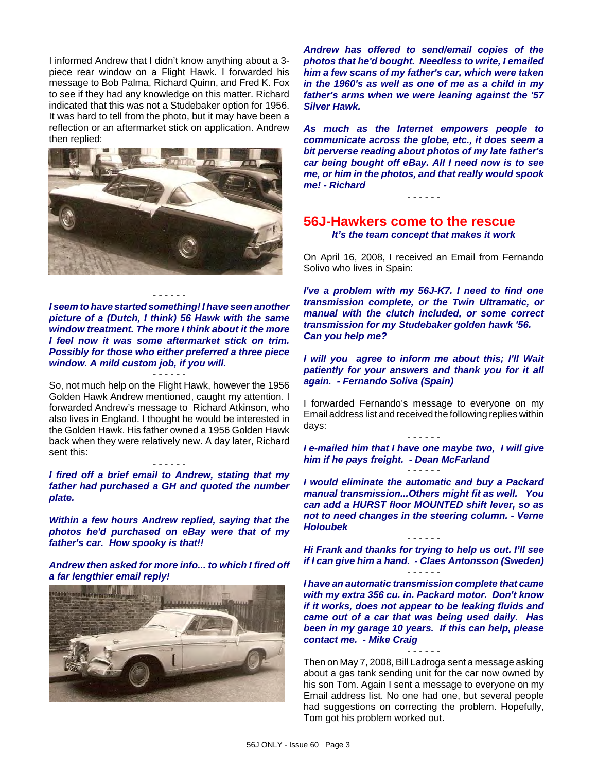I informed Andrew that I didn't know anything about a 3 piece rear window on a Flight Hawk. I forwarded his message to Bob Palma, Richard Quinn, and Fred K. Fox to see if they had any knowledge on this matter. Richard indicated that this was not a Studebaker option for 1956. It was hard to tell from the photo, but it may have been a reflection or an aftermarket stick on application. Andrew then replied:



- - - - - -

*I seem to have started something! I have seen another picture of a (Dutch, I think) 56 Hawk with the same window treatment. The more I think about it the more I feel now it was some aftermarket stick on trim. Possibly for those who either preferred a three piece window. A mild custom job, if you will.*

- - - - - - So, not much help on the Flight Hawk, however the 1956 Golden Hawk Andrew mentioned, caught my attention. I forwarded Andrew's message to Richard Atkinson, who also lives in England. I thought he would be interested in the Golden Hawk. His father owned a 1956 Golden Hawk back when they were relatively new. A day later, Richard sent this:

*I fired off a brief email to Andrew, stating that my father had purchased a GH and quoted the number plate.*

- - - - - -

*Within a few hours Andrew replied, saying that the photos he'd purchased on eBay were that of my father's car. How spooky is that!!*

*Andrew then asked for more info... to which I fired off a far lengthier email reply!*



*Andrew has offered to send/email copies of the photos that he'd bought. Needless to write, I emailed him a few scans of my father's car, which were taken in the 1960's as well as one of me as a child in my father's arms when we were leaning against the '57 Silver Hawk.*

*As much as the Internet empowers people to communicate across the globe, etc., it does seem a bit perverse reading about photos of my late father's car being bought off eBay. All I need now is to see me, or him in the photos, and that really would spook me! - Richard*

- - - - - -

### **56J-Hawkers come to the rescue** *It's the team concept that makes it work*

On April 16, 2008, I received an Email from Fernando Solivo who lives in Spain:

*I've a problem with my 56J-K7. I need to find one transmission complete, or the Twin Ultramatic, or manual with the clutch included, or some correct transmission for my Studebaker golden hawk '56. Can you help me?*

*I will you agree to inform me about this; I'll Wait patiently for your answers and thank you for it all again. - Fernando Soliva (Spain)*

I forwarded Fernando's message to everyone on my Email address list and received the following replies within days:

- - - - - - *I e-mailed him that I have one maybe two, I will give him if he pays freight. - Dean McFarland* - - - - - -

*I would eliminate the automatic and buy a Packard manual transmission...Others might fit as well. You can add a HURST floor MOUNTED shift lever, so as not to need changes in the steering column. - Verne Holoubek*

- - - - - - *Hi Frank and thanks for trying to help us out. I'll see if I can give him a hand. - Claes Antonsson (Sweden)* - - - - - -

*I have an automatic transmission complete that came with my extra 356 cu. in. Packard motor. Don't know if it works, does not appear to be leaking fluids and came out of a car that was being used daily. Has been in my garage 10 years. If this can help, please contact me. - Mike Craig*

Then on May 7, 2008, Bill Ladroga sent a message asking about a gas tank sending unit for the car now owned by his son Tom. Again I sent a message to everyone on my Email address list. No one had one, but several people had suggestions on correcting the problem. Hopefully, Tom got his problem worked out.

- - - - - -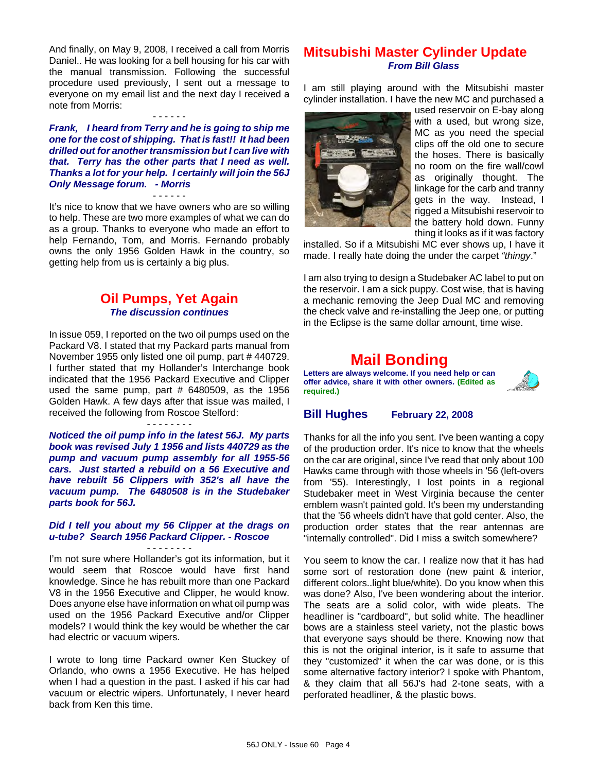And finally, on May 9, 2008, I received a call from Morris Daniel.. He was looking for a bell housing for his car with the manual transmission. Following the successful procedure used previously, I sent out a message to everyone on my email list and the next day I received a note from Morris:

- - - - - - *Frank, I heard from Terry and he is going to ship me one for the cost of shipping. That is fast!! It had been drilled out for another transmission but I can live with that. Terry has the other parts that I need as well. Thanks a lot for your help. I certainly will join the 56J Only Message forum. - Morris*

### - - - - - -

It's nice to know that we have owners who are so willing to help. These are two more examples of what we can do as a group. Thanks to everyone who made an effort to help Fernando, Tom, and Morris. Fernando probably owns the only 1956 Golden Hawk in the country, so getting help from us is certainly a big plus.

## **Oil Pumps, Yet Again** *The discussion continues*

In issue 059, I reported on the two oil pumps used on the Packard V8. I stated that my Packard parts manual from November 1955 only listed one oil pump, part # 440729. I further stated that my Hollander's Interchange book indicated that the 1956 Packard Executive and Clipper used the same pump, part  $#$  6480509, as the 1956 Golden Hawk. A few days after that issue was mailed, I received the following from Roscoe Stelford:

### - - - - - - - -

*Noticed the oil pump info in the latest 56J. My parts book was revised July 1 1956 and lists 440729 as the pump and vacuum pump assembly for all 1955-56 cars. Just started a rebuild on a 56 Executive and have rebuilt 56 Clippers with 352's all have the vacuum pump. The 6480508 is in the Studebaker parts book for 56J.*

### *Did I tell you about my 56 Clipper at the drags on u-tube? Search 1956 Packard Clipper. - Roscoe*

- - - - - - - - I'm not sure where Hollander's got its information, but it would seem that Roscoe would have first hand knowledge. Since he has rebuilt more than one Packard V8 in the 1956 Executive and Clipper, he would know. Does anyone else have information on what oil pump was used on the 1956 Packard Executive and/or Clipper models? I would think the key would be whether the car had electric or vacuum wipers.

I wrote to long time Packard owner Ken Stuckey of Orlando, who owns a 1956 Executive. He has helped when I had a question in the past. I asked if his car had vacuum or electric wipers. Unfortunately, I never heard back from Ken this time.

# **Mitsubishi Master Cylinder Update** *From Bill Glass*

I am still playing around with the Mitsubishi master cylinder installation. I have the new MC and purchased a



used reservoir on E-bay along with a used, but wrong size, MC as you need the special clips off the old one to secure the hoses. There is basically no room on the fire wall/cowl as originally thought. The linkage for the carb and tranny gets in the way. Instead, I rigged a Mitsubishi reservoir to the battery hold down. Funny thing it looks as if it was factory

installed. So if a Mitsubishi MC ever shows up, I have it made. I really hate doing the under the carpet *"thingy*."

I am also trying to design a Studebaker AC label to put on the reservoir. I am a sick puppy. Cost wise, that is having a mechanic removing the Jeep Dual MC and removing the check valve and re-installing the Jeep one, or putting in the Eclipse is the same dollar amount, time wise.

# **Mail Bonding**

**Letters are always welcome. If you need help or can offer advice, share it with other owners. (Edited as required.)**



### **Bill Hughes February 22, 2008**

Thanks for all the info you sent. I've been wanting a copy of the production order. It's nice to know that the wheels on the car are original, since I've read that only about 100 Hawks came through with those wheels in '56 (left-overs from '55). Interestingly, I lost points in a regional Studebaker meet in West Virginia because the center emblem wasn't painted gold. It's been my understanding that the '56 wheels didn't have that gold center. Also, the production order states that the rear antennas are "internally controlled". Did I miss a switch somewhere?

You seem to know the car. I realize now that it has had some sort of restoration done (new paint & interior, different colors..light blue/white). Do you know when this was done? Also, I've been wondering about the interior. The seats are a solid color, with wide pleats. The headliner is "cardboard", but solid white. The headliner bows are a stainless steel variety, not the plastic bows that everyone says should be there. Knowing now that this is not the original interior, is it safe to assume that they "customized" it when the car was done, or is this some alternative factory interior? I spoke with Phantom, & they claim that all 56J's had 2-tone seats, with a perforated headliner, & the plastic bows.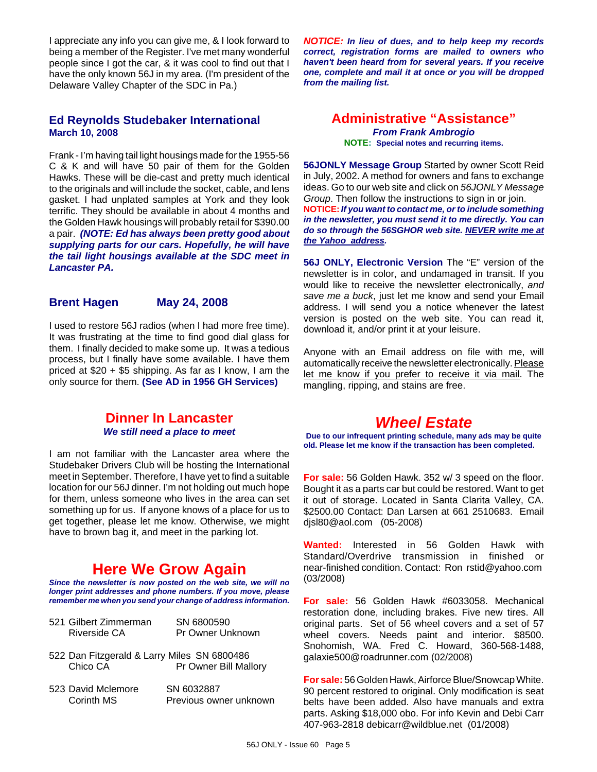I appreciate any info you can give me, & I look forward to being a member of the Register. I've met many wonderful people since I got the car, & it was cool to find out that I have the only known 56J in my area. (I'm president of the Delaware Valley Chapter of the SDC in Pa.)

## **Ed Reynolds Studebaker International March 10, 2008**

Frank - I'm having tail light housings made for the 1955-56 C & K and will have 50 pair of them for the Golden Hawks. These will be die-cast and pretty much identical to the originals and will include the socket, cable, and lens gasket. I had unplated samples at York and they look terrific. They should be available in about 4 months and the Golden Hawk housings will probably retail for \$390.00 a pair. *(NOTE: Ed has always been pretty good about supplying parts for our cars. Hopefully, he will have the tail light housings available at the SDC meet in Lancaster PA.*

## **Brent Hagen May 24, 2008**

I used to restore 56J radios (when I had more free time). It was frustrating at the time to find good dial glass for them. I finally decided to make some up. It was a tedious process, but I finally have some available. I have them priced at \$20 + \$5 shipping. As far as I know, I am the only source for them. **(See AD in 1956 GH Services)**

# **Dinner In Lancaster** *We still need a place to meet*

I am not familiar with the Lancaster area where the Studebaker Drivers Club will be hosting the International meet in September. Therefore, I have yet to find a suitable location for our 56J dinner. I'm not holding out much hope for them, unless someone who lives in the area can set something up for us. If anyone knows of a place for us to get together, please let me know. Otherwise, we might have to brown bag it, and meet in the parking lot.

# **Here We Grow Again**

*Since the newsletter is now posted on the web site, we will no longer print addresses and phone numbers. If you move, please remember me when you send your change of address information.*

| 521 Gilbert Zimmerman | SN 6800590       |
|-----------------------|------------------|
| Riverside CA          | Pr Owner Unknown |

- 522 Dan Fitzgerald & Larry Miles SN 6800486 Chico CA Pr Owner Bill Mallory
- 523 David Mclemore SN 6032887 Corinth MS Previous owner unknown

*NOTICE: In lieu of dues, and to help keep my records correct, registration forms are mailed to owners who haven't been heard from for several years. If you receive one, complete and mail it at once or you will be dropped from the mailing list.*

### **Administrative "Assistance"** *From Frank Ambrogio* **NOTE: Special notes and recurring items.**

**56JONLY Message Group** Started by owner Scott Reid in July, 2002. A method for owners and fans to exchange ideas. Go to our web site and click on *56JONLY Message Group*. Then follow the instructions to sign in or join. **NOTICE:***If you want to contact me, or to include something in the newsletter, you must send it to me directly. You can do so through the 56SGHOR web site. NEVER write me at the Yahoo address.*

**56J ONLY, Electronic Version** The "E" version of the newsletter is in color, and undamaged in transit. If you would like to receive the newsletter electronically, *and save me a buck*, just let me know and send your Email address. I will send you a notice whenever the latest version is posted on the web site. You can read it, download it, and/or print it at your leisure.

Anyone with an Email address on file with me, will automatically receive the newsletter electronically. Please let me know if you prefer to receive it via mail. The mangling, ripping, and stains are free.

# *Wheel Estate*

**Due to our infrequent printing schedule, many ads may be quite old. Please let me know if the transaction has been completed.**

**For sale:** 56 Golden Hawk. 352 w/ 3 speed on the floor. Bought it as a parts car but could be restored. Want to get it out of storage. Located in Santa Clarita Valley, CA. \$2500.00 Contact: Dan Larsen at 661 2510683. Email djsl80@aol.com (05-2008)

**Wanted:** Interested in 56 Golden Hawk with Standard/Overdrive transmission in finished or near-finished condition. Contact: Ron rstid@yahoo.com (03/2008)

**For sale:** 56 Golden Hawk #6033058. Mechanical restoration done, including brakes. Five new tires. All original parts. Set of 56 wheel covers and a set of 57 wheel covers. Needs paint and interior. \$8500. Snohomish, WA. Fred C. Howard, 360-568-1488, galaxie500@roadrunner.com (02/2008)

**For sale:** 56 Golden Hawk, Airforce Blue/Snowcap White. 90 percent restored to original. Only modification is seat belts have been added. Also have manuals and extra parts. Asking \$18,000 obo. For info Kevin and Debi Carr 407-963-2818 debicarr@wildblue.net (01/2008)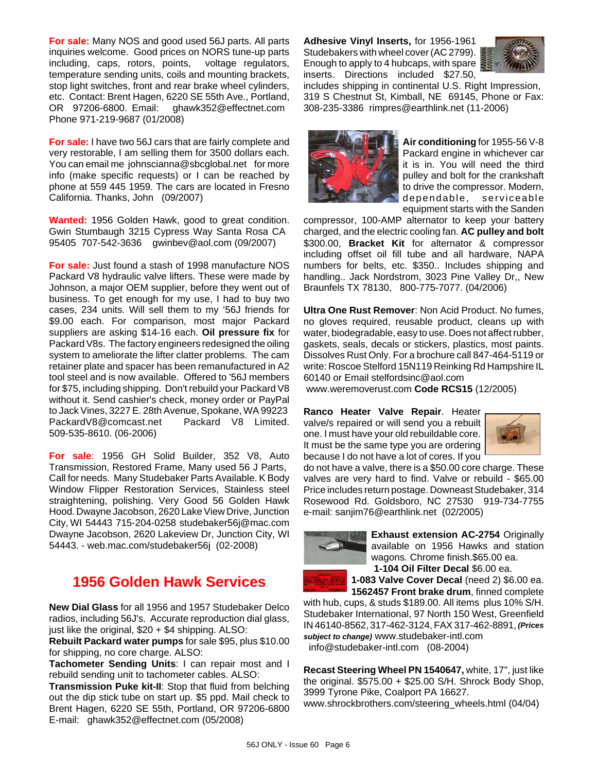**For sale:** Many NOS and good used 56J parts. All parts inquiries welcome. Good prices on NORS tune-up parts including, caps, rotors, points, voltage regulators, temperature sending units, coils and mounting brackets, stop light switches, front and rear brake wheel cylinders, etc. Contact: Brent Hagen, 6220 SE 55th Ave., Portland, OR 97206-6800. Email: ghawk352@effectnet.com Phone 971-219-9687 (01/2008)

**For sale:** I have two 56J cars that are fairly complete and very restorable, I am selling them for 3500 dollars each. You can email me johnscianna@sbcglobal.net for more info (make specific requests) or I can be reached by phone at 559 445 1959. The cars are located in Fresno California. Thanks, John (09/2007)

**Wanted:** 1956 Golden Hawk, good to great condition. Gwin Stumbaugh 3215 Cypress Way Santa Rosa CA 95405 707-542-3636 gwinbev@aol.com (09/2007)

**For sale:** Just found a stash of 1998 manufacture NOS Packard V8 hydraulic valve lifters. These were made by Johnson, a major OEM supplier, before they went out of business. To get enough for my use, I had to buy two cases, 234 units. Will sell them to my '56J friends for \$9.00 each. For comparison, most major Packard suppliers are asking \$14-16 each. **Oil pressure fix** for Packard V8s. The factory engineers redesigned the oiling system to ameliorate the lifter clatter problems. The cam retainer plate and spacer has been remanufactured in A2 tool steel and is now available. Offered to '56J members for \$75, including shipping. Don't rebuild your Packard V8 without it. Send cashier's check, money order or PayPal to Jack Vines, 3227 E. 28th Avenue, Spokane, WA 99223 PackardV8@comcast.net Packard V8 Limited. 509-535-8610. (06-2006)

**For sale**: 1956 GH Solid Builder, 352 V8, Auto Transmission, Restored Frame, Many used 56 J Parts, Call for needs. Many Studebaker Parts Available. K Body Window Flipper Restoration Services, Stainless steel straightening, polishing. Very Good 56 Golden Hawk Hood. Dwayne Jacobson, 2620 Lake View Drive, Junction City, WI 54443 715-204-0258 studebaker56j@mac.com Dwayne Jacobson, 2620 Lakeview Dr, Junction City, WI 54443. - web.mac.com/studebaker56j (02-2008)

# **1956 Golden Hawk Services**

**New Dial Glass** for all 1956 and 1957 Studebaker Delco radios, including 56J's. Accurate reproduction dial glass, just like the original,  $$20 + $4$  shipping. ALSO:

**Rebuilt Packard water pumps** for sale \$95, plus \$10.00 for shipping, no core charge. ALSO:

**Tachometer Sending Units**: I can repair most and I rebuild sending unit to tachometer cables. ALSO:

**Transmission Puke kit-II**: Stop that fluid from belching out the dip stick tube on start up. \$5 ppd. Mail check to Brent Hagen, 6220 SE 55th, Portland, OR 97206-6800 E-mail: ghawk352@effectnet.com (05/2008)

**Adhesive Vinyl Inserts,** for 1956-1961 Studebakers with wheel cover (AC 2799). Enough to apply to 4 hubcaps, with spare inserts. Directions included \$27.50,



includes shipping in continental U.S. Right Impression, 319 S Chestnut St, Kimball, NE 69145, Phone or Fax: 308-235-3386 rimpres@earthlink.net (11-2006)



**Air conditioning** for 1955-56 V-8 Packard engine in whichever car it is in. You will need the third pulley and bolt for the crankshaft to drive the compressor. Modern, dependable, serviceable equipment starts with the Sanden

compressor, 100-AMP alternator to keep your battery charged, and the electric cooling fan. **AC pulley and bolt** \$300.00, **Bracket Kit** for alternator & compressor including offset oil fill tube and all hardware, NAPA numbers for belts, etc. \$350.. Includes shipping and handling.. Jack Nordstrom, 3023 Pine Valley Dr,, New Braunfels TX 78130, 800-775-7077. (04/2006)

**Ultra One Rust Remover**: Non Acid Product. No fumes, no gloves required, reusable product, cleans up with water, biodegradable, easy to use. Does not affect rubber, gaskets, seals, decals or stickers, plastics, most paints. Dissolves Rust Only. For a brochure call 847-464-5119 or write: Roscoe Stelford 15N119 Reinking Rd Hampshire IL 60140 or Email stelfordsinc@aol.com

www.weremoverust.com **Code RCS15** (12/2005)

**Ranco Heater Valve Repair**. Heater valve/s repaired or will send you a rebuilt one. I must have your old rebuildable core. It must be the same type you are ordering because I do not have a lot of cores. If you



do not have a valve, there is a \$50.00 core charge. These valves are very hard to find. Valve or rebuild - \$65.00 Price includes return postage. Downeast Studebaker, 314 Rosewood Rd. Goldsboro, NC 27530 919-734-7755 e-mail: sanjim76@earthlink.net (02/2005)



**Exhaust extension AC-2754** Originally available on 1956 Hawks and station wagons. Chrome finish.\$65.00 ea. **1-104 Oil Filter Decal** \$6.00 ea.

**1-083 Valve Cover Decal** (need 2) \$6.00 ea.

**1562457 Front brake drum**, finned complete

with hub, cups, & studs \$189.00. All items plus 10% S/H. Studebaker International, 97 North 150 West, Greenfield IN 46140-8562, 317-462-3124, FAX 317-462-8891, *(Prices subject to change)* www.studebaker-intl.com info@studebaker-intl.com (08-2004)

**Recast Steering Wheel PN 1540647,** white, 17", just like the original.  $$575.00 + $25.00$  S/H. Shrock Body Shop, 3999 Tyrone Pike, Coalport PA 16627. www.shrockbrothers.com/steering\_wheels.html (04/04)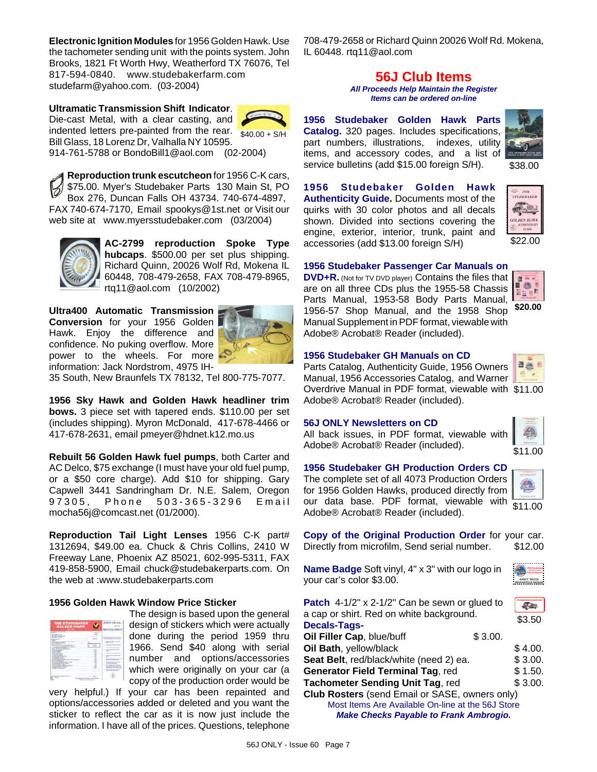**Electronic Ignition Modules** for 1956 Golden Hawk. Use the tachometer sending unit with the points system. John Brooks, 1821 Ft Worth Hwy, Weatherford TX 76076, Tel 817-594-0840. www.studebakerfarm.com studefarm@yahoo.com. (03-2004)

 $$40.00 + S/H$ **Ultramatic Transmission Shift Indicator**. Die-cast Metal, with a clear casting, and indented letters pre-painted from the rear. Bill Glass, 18 Lorenz Dr, Valhalla NY 10595. 914-761-5788 or BondoBill1@aol.com (02-2004)

**Reproduction trunk escutcheon** for 1956 C-K cars, \$75.00. Myer's Studebaker Parts 130 Main St, PO Box 276, Duncan Falls OH 43734. 740-674-4897, FAX 740-674-7170, Email spookys@1st.net or Visit our web site at www.myersstudebaker.com (03/2004)



**AC-2799 reproduction Spoke Type hubcaps**. \$500.00 per set plus shipping. Richard Quinn, 20026 Wolf Rd, Mokena IL 60448, 708-479-2658, FAX 708-479-8965, rtq11@aol.com (10/2002)

**Ultra400 Automatic Transmission Conversion** for your 1956 Golden Hawk. Enjoy the difference and confidence. No puking overflow. More power to the wheels. For more information: Jack Nordstrom, 4975 IH-



35 South, New Braunfels TX 78132, Tel 800-775-7077.

**1956 Sky Hawk and Golden Hawk headliner trim bows.** 3 piece set with tapered ends. \$110.00 per set (includes shipping). Myron McDonald, 417-678-4466 or 417-678-2631, email pmeyer@hdnet.k12.mo.us

**Rebuilt 56 Golden Hawk fuel pumps**, both Carter and AC Delco, \$75 exchange (I must have your old fuel pump, or a \$50 core charge). Add \$10 for shipping. Gary Capwell 3441 Sandringham Dr. N.E. Salem, Oregon 97305, Phone 503-365-3296 Email mocha56j@comcast.net (01/2000).

**Reproduction Tail Light Lenses** 1956 C-K part# 1312694, \$49.00 ea. Chuck & Chris Collins, 2410 W Freeway Lane, Phoenix AZ 85021, 602-995-5311, FAX 419-858-5900, Email chuck@studebakerparts.com. On the web at :www.studebakerparts.com

### **1956 Golden Hawk Window Price Sticker**

| <b>THE STUDEBAKER</b><br>GOLDEN HAWK                                                                      |                                 |
|-----------------------------------------------------------------------------------------------------------|---------------------------------|
| -----<br><br>-<br><br>٠<br>۰<br>۰<br>v<br>÷<br>œ<br><br>---<br>×<br>--<br>÷<br>٠<br>-<br>ı<br>$1.5 - 1.5$ | --<br>$-0.00$                   |
| ٠<br>                                                                                                     | ۰<br>-<br>--<br><b>Services</b> |

The design is based upon the general design of stickers which were actually done during the period 1959 thru 1966. Send \$40 along with serial number and options/accessories which were originally on your car (a copy of the production order would be

very helpful.) If your car has been repainted and options/accessories added or deleted and you want the sticker to reflect the car as it is now just include the information. I have all of the prices. Questions, telephone

708-479-2658 or Richard Quinn 20026 Wolf Rd. Mokena, IL 60448. rtq11@aol.com

# **56J Club Items**

*All Proceeds Help Maintain the Register Items can be ordered on-line*

**1956 Studebaker Golden Hawk Parts Catalog.** 320 pages. Includes specifications, part numbers, illustrations, indexes, utility items, and accessory codes, and a list of service bulletins (add \$15.00 foreign S/H).



\$38.00

**1956 Studebaker Golden Hawk Authenticity Guide.** Documents most of the quirks with 30 color photos and all decals shown. Divided into sections covering the engine, exterior, interior, trunk, paint and accessories (add \$13.00 foreign S/H)



# **1956 Studebaker Passenger Car Manuals on**

**DVD+R.** (Not for TV DVD player) **Contains the files that** are on all three CDs plus the 1955-58 Chassis Parts Manual, 1953-58 Body Parts Manual, 1956-57 Shop Manual, and the 1958 Shop Manual Supplement in PDF format, viewable with Adobe® Acrobat® Reader (included).



日益

### **1956 Studebaker GH Manuals on CD**

Overdrive Manual in PDF format, viewable with \$11.00 Parts Catalog, Authenticity Guide, 1956 Owners Manual, 1956 Accessories Catalog, and Warner Adobe® Acrobat® Reader (included).

### **56J ONLY Newsletters on CD**

All back issues, in PDF format, viewable with Adobe® Acrobat® Reader (included).



\$11.00

### **1956 Studebaker GH Production Orders CD**

The complete set of all 4073 Production Orders for 1956 Golden Hawks, produced directly from our data base. PDF format, viewable with Adobe® Acrobat® Reader (included).

\$11.00

**Copy of the Original Production Order** for your car. Directly from microfilm, Send serial number. \$12.00

**Name Badge** Soft vinyl, 4" x 3" with our logo in your car's color \$3.00.



| Patch 4-1/2" x 2-1/2" Can be sewn or glued to         |         |         |  |  |
|-------------------------------------------------------|---------|---------|--|--|
| a cap or shirt. Red on white background.              |         |         |  |  |
| <b>Decals-Tags-</b>                                   |         | \$3.50  |  |  |
| Oil Filler Cap, blue/buff                             | \$3.00. |         |  |  |
| Oil Bath, yellow/black                                |         | \$4.00. |  |  |
| Seat Belt, red/black/white (need 2) ea.               |         |         |  |  |
| Generator Field Terminal Tag, red                     |         |         |  |  |
| Tachometer Sending Unit Tag, red                      |         | \$3.00. |  |  |
| <b>Club Rosters</b> (send Email or SASE, owners only) |         |         |  |  |
|                                                       |         |         |  |  |

Most Items Are Available On-line at the 56J Store *Make Checks Payable to Frank Ambrogio.*